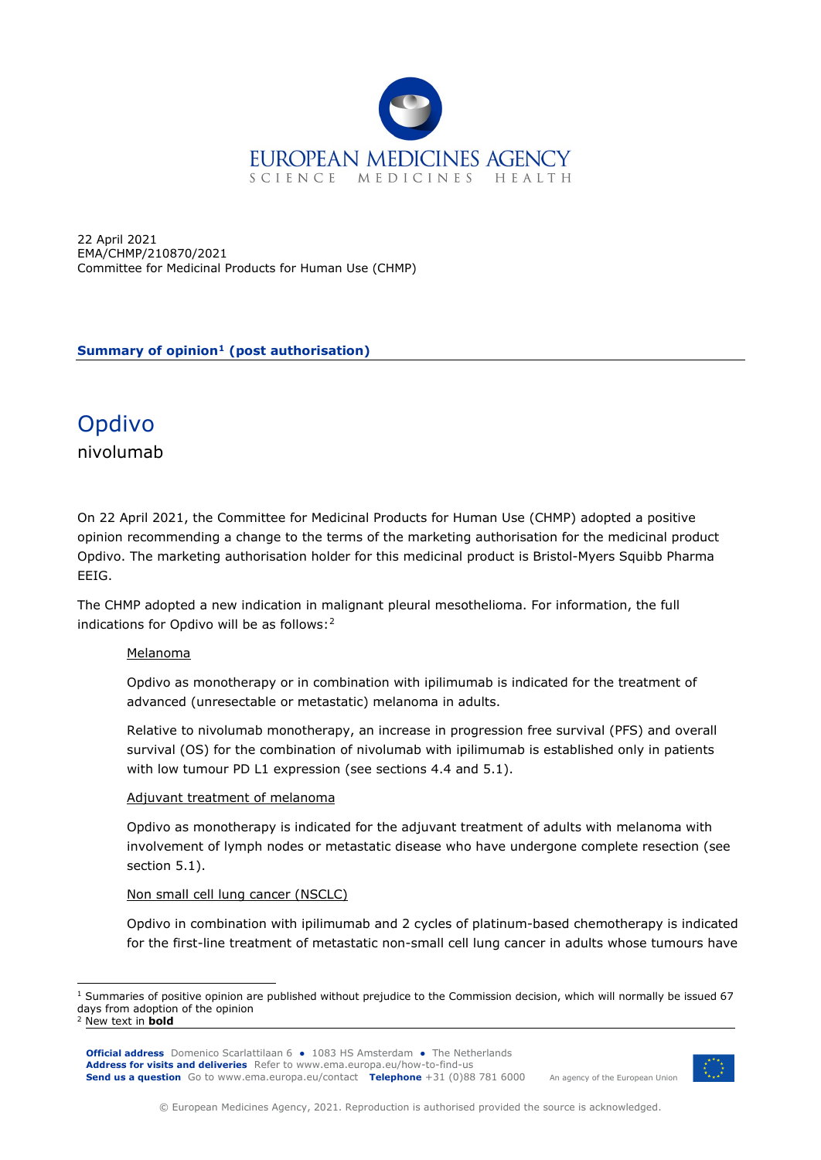

22 April 2021 EMA/CHMP/210870/2021 Committee for Medicinal Products for Human Use (CHMP)

**Summary of opinion[1](#page-0-0) (post authorisation)**

# Opdivo

nivolumab

On 22 April 2021, the Committee for Medicinal Products for Human Use (CHMP) adopted a positive opinion recommending a change to the terms of the marketing authorisation for the medicinal product Opdivo. The marketing authorisation holder for this medicinal product is Bristol-Myers Squibb Pharma EEIG.

The CHMP adopted a new indication in malignant pleural mesothelioma. For information, the full indications for Opdivo will be as follows:[2](#page-0-1)

# Melanoma

Opdivo as monotherapy or in combination with ipilimumab is indicated for the treatment of advanced (unresectable or metastatic) melanoma in adults.

Relative to nivolumab monotherapy, an increase in progression free survival (PFS) and overall survival (OS) for the combination of nivolumab with ipilimumab is established only in patients with low tumour PD L1 expression (see sections 4.4 and 5.1).

# Adjuvant treatment of melanoma

Opdivo as monotherapy is indicated for the adjuvant treatment of adults with melanoma with involvement of lymph nodes or metastatic disease who have undergone complete resection (see section 5.1).

# Non small cell lung cancer (NSCLC)

Opdivo in combination with ipilimumab and 2 cycles of platinum-based chemotherapy is indicated for the first-line treatment of metastatic non-small cell lung cancer in adults whose tumours have

**Official address** Domenico Scarlattilaan 6 **●** 1083 HS Amsterdam **●** The Netherlands An agency of the European Union **Address for visits and deliveries** Refer to [www.ema.europa.eu/how-to-find-us](http://www.ema.europa.eu/how-to-find-us) **Send us a question** Go to [www.ema.europa.eu/contact](http://www.ema.europa.eu/contact) **Telephone** +31 (0)88 781 6000



<span id="page-0-0"></span> $1$  Summaries of positive opinion are published without prejudice to the Commission decision, which will normally be issued 67 days from adoption of the opinion

<span id="page-0-1"></span><sup>2</sup> New text in **bold**